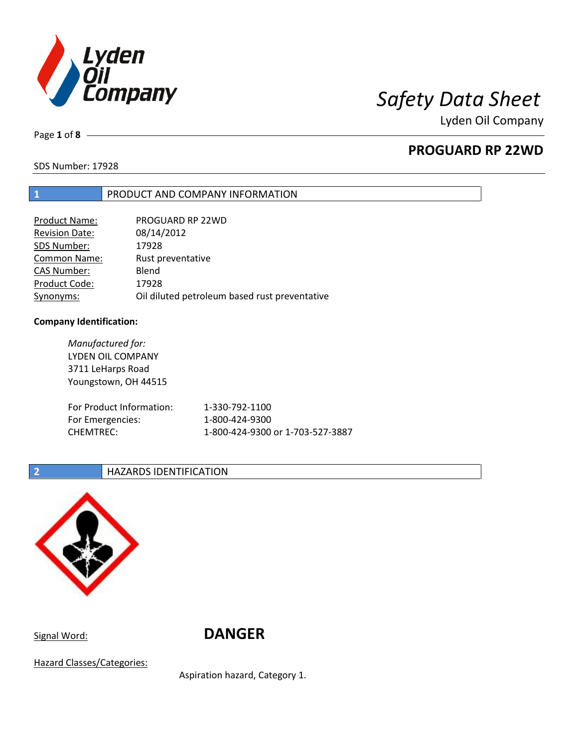

Page **1** of **8**

# **PROGUARD RP 22WD**

SDS Number: 17928

## **1** PRODUCT AND COMPANY INFORMATION

| <b>Product Name:</b>  | PROGUARD RP 22WD                              |
|-----------------------|-----------------------------------------------|
| <b>Revision Date:</b> | 08/14/2012                                    |
| SDS Number:           | 17928                                         |
| <b>Common Name:</b>   | Rust preventative                             |
| <b>CAS Number:</b>    | Blend                                         |
| Product Code:         | 17928                                         |
| Synonyms:             | Oil diluted petroleum based rust preventative |

### **Company Identification:**

*Manufactured for:* LYDEN OIL COMPANY 3711 LeHarps Road Youngstown, OH 44515 For Product Information: 1-330-792-1100 For Emergencies: 1-800-424-9300 CHEMTREC: 1-800-424-9300 or 1-703-527-3887

### **2 HAZARDS IDENTIFICATION**



Signal Word: **DANGER**

Hazard Classes/Categories:

Aspiration hazard, Category 1.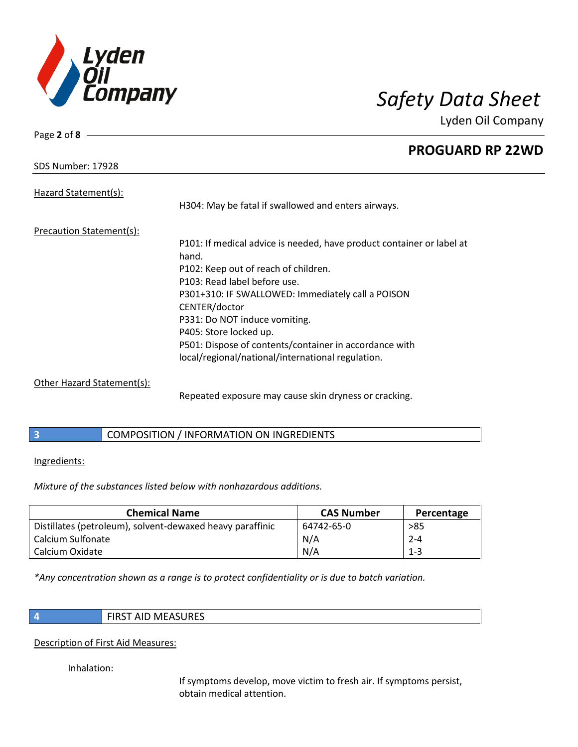

**RP 22WD** 

| Page $2$ of $8 -$               |                                                                                                                                                                                                                                                                                                                                                                                                        |
|---------------------------------|--------------------------------------------------------------------------------------------------------------------------------------------------------------------------------------------------------------------------------------------------------------------------------------------------------------------------------------------------------------------------------------------------------|
|                                 | <b>PROGUARD</b>                                                                                                                                                                                                                                                                                                                                                                                        |
| SDS Number: 17928               |                                                                                                                                                                                                                                                                                                                                                                                                        |
| Hazard Statement(s):            | H304: May be fatal if swallowed and enters airways.                                                                                                                                                                                                                                                                                                                                                    |
| <b>Precaution Statement(s):</b> | P101: If medical advice is needed, have product container or label at<br>hand.<br>P102: Keep out of reach of children.<br>P103: Read label before use.<br>P301+310: IF SWALLOWED: Immediately call a POISON<br>CENTER/doctor<br>P331: Do NOT induce vomiting.<br>P405: Store locked up.<br>P501: Dispose of contents/container in accordance with<br>local/regional/national/international regulation. |

Other Hazard Statement(s):

Repeated exposure may cause skin dryness or cracking.

# **3** COMPOSITION / INFORMATION ON INGREDIENTS

Ingredients:

*Mixture of the substances listed below with nonhazardous additions.*

| <b>Chemical Name</b>                                      | <b>CAS Number</b> | Percentage |
|-----------------------------------------------------------|-------------------|------------|
| Distillates (petroleum), solvent-dewaxed heavy paraffinic | 64742-65-0        | $>85$      |
| Calcium Sulfonate                                         | N/A               | $2 - 4$    |
| Calcium Oxidate                                           | N/A               | $1 - 3$    |

*\*Any concentration shown as a range is to protect confidentiality or is due to batch variation.*

|    | ۰. |  |
|----|----|--|
|    |    |  |
|    |    |  |
| y. |    |  |
|    |    |  |
|    |    |  |
|    |    |  |

### **4** FIRST AID MEASURES

### Description of First Aid Measures:

Inhalation:

If symptoms develop, move victim to fresh air. If symptoms persist, obtain medical attention.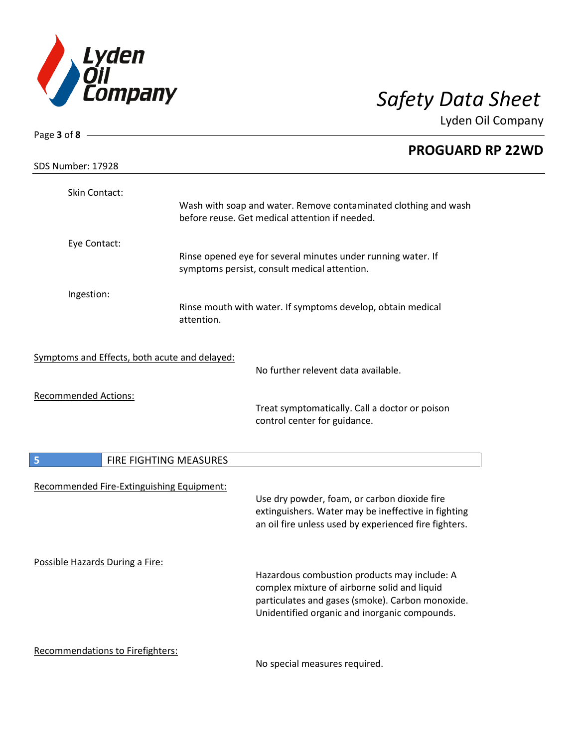

| Page 3 of 8 -                                 |                        |                                                                                                                                                              |  |
|-----------------------------------------------|------------------------|--------------------------------------------------------------------------------------------------------------------------------------------------------------|--|
| <b>SDS Number: 17928</b>                      |                        | <b>PROGUARD RP 22WD</b>                                                                                                                                      |  |
| Skin Contact:                                 |                        |                                                                                                                                                              |  |
|                                               |                        | Wash with soap and water. Remove contaminated clothing and wash<br>before reuse. Get medical attention if needed.                                            |  |
| Eye Contact:                                  |                        |                                                                                                                                                              |  |
|                                               |                        | Rinse opened eye for several minutes under running water. If<br>symptoms persist, consult medical attention.                                                 |  |
| Ingestion:                                    |                        |                                                                                                                                                              |  |
|                                               | attention.             | Rinse mouth with water. If symptoms develop, obtain medical                                                                                                  |  |
| Symptoms and Effects, both acute and delayed: |                        |                                                                                                                                                              |  |
|                                               |                        | No further relevent data available.                                                                                                                          |  |
| <b>Recommended Actions:</b>                   |                        | Treat symptomatically. Call a doctor or poison<br>control center for guidance.                                                                               |  |
| 5                                             | FIRE FIGHTING MEASURES |                                                                                                                                                              |  |
| Recommended Fire-Extinguishing Equipment:     |                        |                                                                                                                                                              |  |
|                                               |                        | Use dry powder, foam, or carbon dioxide fire<br>extinguishers. Water may be ineffective in fighting<br>an oil fire unless used by experienced fire fighters. |  |
| Possible Hazards During a Fire:               |                        | Hazardous combustion products may include: A                                                                                                                 |  |
|                                               |                        | complex mixture of airborne solid and liquid<br>particulates and gases (smoke). Carbon monoxide.                                                             |  |
|                                               |                        | Unidentified organic and inorganic compounds.                                                                                                                |  |
| <b>Recommendations to Firefighters:</b>       |                        | No special measures required.                                                                                                                                |  |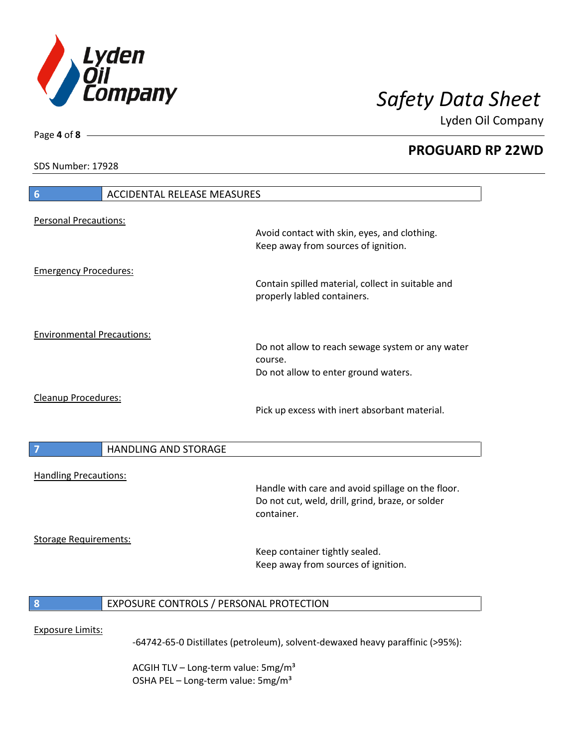

**PROGUARD RP 22WD**

SDS Number: 17928

Page **4** of **8**

| 6                                 | <b>ACCIDENTAL RELEASE MEASURES</b>      |                                                                                                                     |
|-----------------------------------|-----------------------------------------|---------------------------------------------------------------------------------------------------------------------|
| <b>Personal Precautions:</b>      |                                         | Avoid contact with skin, eyes, and clothing.<br>Keep away from sources of ignition.                                 |
| <b>Emergency Procedures:</b>      |                                         | Contain spilled material, collect in suitable and<br>properly labled containers.                                    |
| <b>Environmental Precautions:</b> |                                         | Do not allow to reach sewage system or any water<br>course.<br>Do not allow to enter ground waters.                 |
| Cleanup Procedures:               |                                         | Pick up excess with inert absorbant material.                                                                       |
|                                   | <b>HANDLING AND STORAGE</b>             |                                                                                                                     |
| <b>Handling Precautions:</b>      |                                         | Handle with care and avoid spillage on the floor.<br>Do not cut, weld, drill, grind, braze, or solder<br>container. |
| <b>Storage Requirements:</b>      |                                         | Keep container tightly sealed.<br>Keep away from sources of ignition.                                               |
| 8                                 | EXPOSURE CONTROLS / PERSONAL PROTECTION |                                                                                                                     |
| <b>Exposure Limits:</b>           |                                         | -64742-65-0 Distillates (petroleum), solvent-dewaxed heavy paraffinic (>95%):                                       |

ACGIH TLV - Long-term value: 5mg/m<sup>3</sup> OSHA PEL - Long-term value: 5mg/m<sup>3</sup>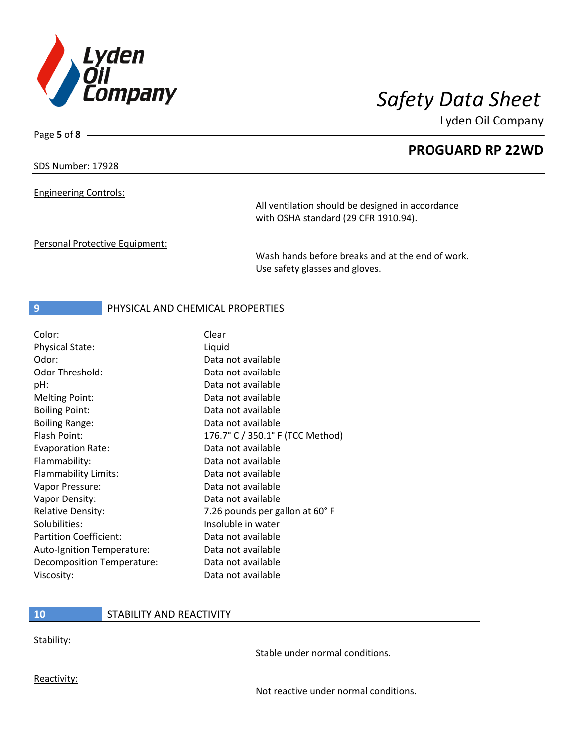

Page **5** of **8**

Lyden Oil Company

**PROGUARD RP 22WD**

### SDS Number: 17928

Engineering Controls:

All ventilation should be designed in accordance with OSHA standard (29 CFR 1910.94).

Personal Protective Equipment:

Wash hands before breaks and at the end of work. Use safety glasses and gloves.

### **9 PHYSICAL AND CHEMICAL PROPERTIES**

| Color:                        | Clear                            |
|-------------------------------|----------------------------------|
| Physical State:               | Liquid                           |
| Odor:                         | Data not available               |
| <b>Odor Threshold:</b>        | Data not available               |
| pH:                           | Data not available               |
| <b>Melting Point:</b>         | Data not available               |
| <b>Boiling Point:</b>         | Data not available               |
| <b>Boiling Range:</b>         | Data not available               |
| Flash Point:                  | 176.7° C / 350.1° F (TCC Method) |
| <b>Evaporation Rate:</b>      | Data not available               |
| Flammability:                 | Data not available               |
| Flammability Limits:          | Data not available               |
| Vapor Pressure:               | Data not available               |
| Vapor Density:                | Data not available               |
| <b>Relative Density:</b>      | 7.26 pounds per gallon at 60°F   |
| Solubilities:                 | Insoluble in water               |
| <b>Partition Coefficient:</b> | Data not available               |
| Auto-Ignition Temperature:    | Data not available               |
| Decomposition Temperature:    | Data not available               |
| Viscosity:                    | Data not available               |

### **10** STABILITY AND REACTIVITY

Stability:

Stable under normal conditions.

Reactivity:

Not reactive under normal conditions.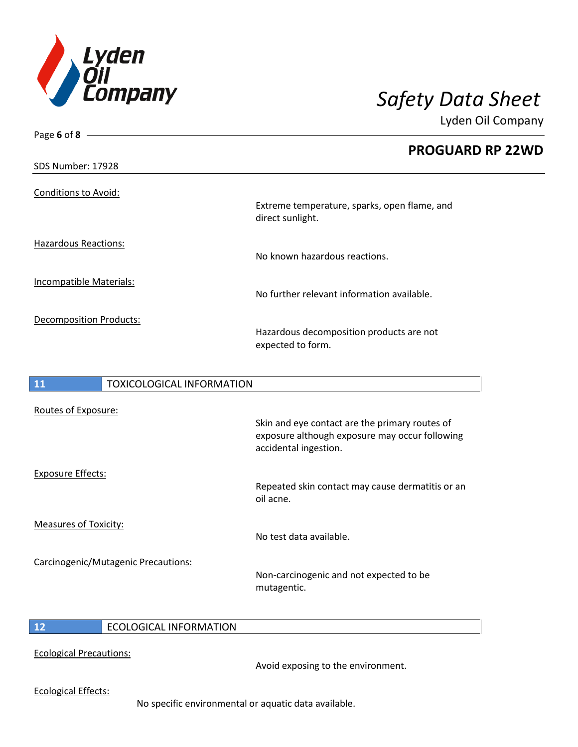

Page **6** of **8**

Lyden Oil Company

|                                               | <b>PROGUARD RP 22WD</b>                                          |
|-----------------------------------------------|------------------------------------------------------------------|
| <b>SDS Number: 17928</b>                      |                                                                  |
| <b>Conditions to Avoid:</b>                   | Extreme temperature, sparks, open flame, and<br>direct sunlight. |
| <b>Hazardous Reactions:</b>                   | No known hazardous reactions.                                    |
| <b>Incompatible Materials:</b>                | No further relevant information available.                       |
| <b>Decomposition Products:</b>                | Hazardous decomposition products are not<br>expected to form.    |
| <b>11</b><br><b>TOXICOLOGICAL INFORMATION</b> |                                                                  |

| <b>11</b>                    | <b>TOXICOLOGICAL INFORMATION</b>    |                                                                                                                           |
|------------------------------|-------------------------------------|---------------------------------------------------------------------------------------------------------------------------|
| Routes of Exposure:          |                                     | Skin and eye contact are the primary routes of<br>exposure although exposure may occur following<br>accidental ingestion. |
| <b>Exposure Effects:</b>     |                                     | Repeated skin contact may cause dermatitis or an<br>oil acne.                                                             |
| <b>Measures of Toxicity:</b> |                                     | No test data available.                                                                                                   |
|                              | Carcinogenic/Mutagenic Precautions: | Non-carcinogenic and not expected to be<br>mutagentic.                                                                    |

# **12** ECOLOGICAL INFORMATION

Ecological Precautions:

Avoid exposing to the environment.

Ecological Effects:

No specific environmental or aquatic data available.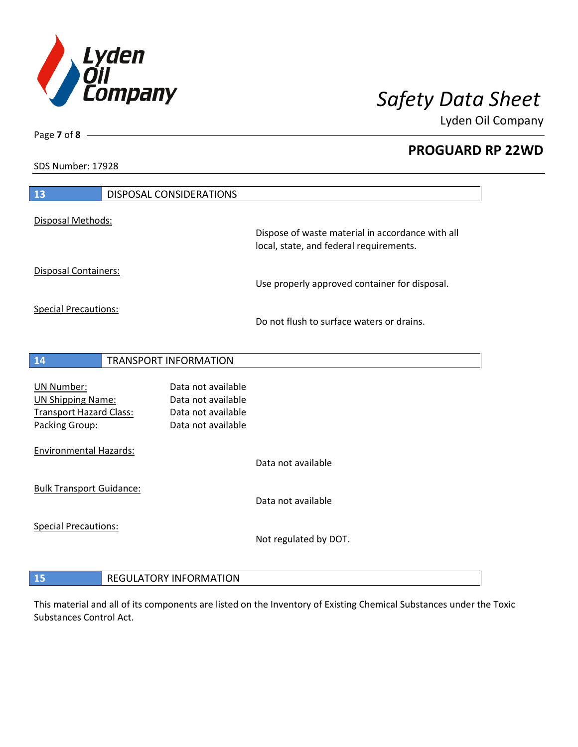

**PROGUARD RP 22WD**

SDS Number: 17928

Page **7** of **8**

| 13                                                                                                | <b>DISPOSAL CONSIDERATIONS</b>                                                       |                                                                                             |
|---------------------------------------------------------------------------------------------------|--------------------------------------------------------------------------------------|---------------------------------------------------------------------------------------------|
| Disposal Methods:                                                                                 |                                                                                      |                                                                                             |
|                                                                                                   |                                                                                      | Dispose of waste material in accordance with all<br>local, state, and federal requirements. |
| <b>Disposal Containers:</b>                                                                       |                                                                                      | Use properly approved container for disposal.                                               |
| <b>Special Precautions:</b>                                                                       |                                                                                      | Do not flush to surface waters or drains.                                                   |
| 14                                                                                                | <b>TRANSPORT INFORMATION</b>                                                         |                                                                                             |
|                                                                                                   |                                                                                      |                                                                                             |
| <b>UN Number:</b><br><b>UN Shipping Name:</b><br><b>Transport Hazard Class:</b><br>Packing Group: | Data not available<br>Data not available<br>Data not available<br>Data not available |                                                                                             |
| <b>Environmental Hazards:</b>                                                                     |                                                                                      | Data not available                                                                          |
| <b>Bulk Transport Guidance:</b>                                                                   |                                                                                      |                                                                                             |
|                                                                                                   |                                                                                      | Data not available                                                                          |
| <b>Special Precautions:</b>                                                                       |                                                                                      | Not regulated by DOT.                                                                       |
|                                                                                                   |                                                                                      |                                                                                             |
| 15                                                                                                | <b>REGULATORY INFORMATION</b>                                                        |                                                                                             |

This material and all of its components are listed on the Inventory of Existing Chemical Substances under the Toxic Substances Control Act.